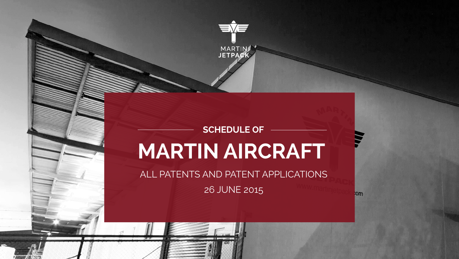

# **MARTIN AIRCRAFT SCHEDULE OF**

ALL PATENTS AND PATENT APPLICATIONS

26 JUNE 2015

**lom**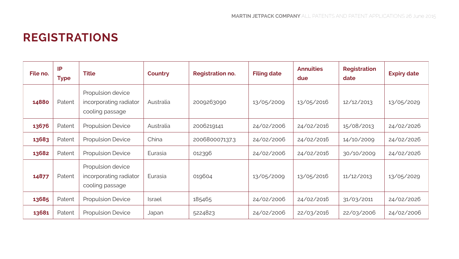### **REGISTRATIONS**

| File no. | IP<br><b>Type</b> | <b>Title</b>                                                   | Country       | <b>Registration no.</b> | <b>Filing date</b> | <b>Annuities</b><br>due | Registration<br>date | <b>Expiry date</b> |
|----------|-------------------|----------------------------------------------------------------|---------------|-------------------------|--------------------|-------------------------|----------------------|--------------------|
| 14880    | Patent            | Propulsion device<br>incorporating radiator<br>cooling passage | Australia     | 2009263090              | 13/05/2009         | 13/05/2016              | 12/12/2013           | 13/05/2029         |
| 13676    | Patent            | <b>Propulsion Device</b>                                       | Australia     | 2006219141              | 24/02/2006         | 24/02/2016              | 15/08/2013           | 24/02/2026         |
| 13683    | Patent            | <b>Propulsion Device</b>                                       | China         | 200680007137.3          | 24/02/2006         | 24/02/2016              | 14/10/2009           | 24/02/2026         |
| 13682    | Patent            | <b>Propulsion Device</b>                                       | Eurasia       | 012396                  | 24/02/2006         | 24/02/2016              | 30/10/2009           | 24/02/2026         |
| 14877    | Patent            | Propulsion device<br>incorporating radiator<br>cooling passage | Eurasia       | 019604                  | 13/05/2009         | 13/05/2016              | 11/12/2013           | 13/05/2029         |
| 13685    | Patent            | <b>Propulsion Device</b>                                       | <b>Israel</b> | 185465                  | 24/02/2006         | 24/02/2016              | 31/03/2011           | 24/02/2026         |
| 13681    | Patent            | <b>Propulsion Device</b>                                       | Japan         | 5224823                 | 24/02/2006         | 22/03/2016              | 22/03/2006           | 24/02/2006         |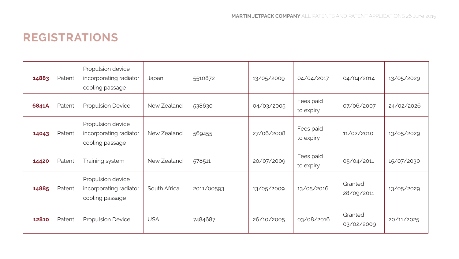#### **REGISTRATIONS**

| 14883 | Patent | Propulsion device<br>incorporating radiator<br>cooling passage | Japan        | 5510872    | 13/05/2009 | 04/04/2017             | 04/04/2014            | 13/05/2029 |
|-------|--------|----------------------------------------------------------------|--------------|------------|------------|------------------------|-----------------------|------------|
| 6841A | Patent | <b>Propulsion Device</b>                                       | New Zealand  |            | 04/03/2005 | Fees paid<br>to expiry | 07/06/2007            | 24/02/2026 |
| 14043 | Patent | Propulsion device<br>incorporating radiator<br>cooling passage | New Zealand  | 569455     | 27/06/2008 | Fees paid<br>to expiry | 11/02/2010            | 13/05/2029 |
| 14420 | Patent | Training system                                                | New Zealand  | 578511     | 20/07/2009 | Fees paid<br>to expiry | 05/04/2011            | 15/07/2030 |
| 14885 | Patent | Propulsion device<br>incorporating radiator<br>cooling passage | South Africa | 2011/00593 | 13/05/2009 | 13/05/2016             | Granted<br>28/09/2011 | 13/05/2029 |
| 12810 | Patent | <b>Propulsion Device</b>                                       | <b>USA</b>   | 7484687    | 26/10/2005 | 03/08/2016             | Granted<br>03/02/2009 | 20/11/2025 |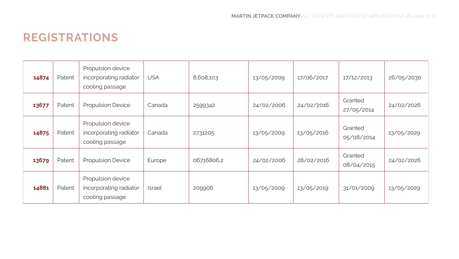#### **REGISTRATIONS**

| 14874 | Patent | Propulsion device<br>incorporating radiator<br>cooling passage | <b>USA</b>    | 8,608,103  | 13/05/2009 | 17/06/2017 | 17/12/2013            | 26/05/2030 |
|-------|--------|----------------------------------------------------------------|---------------|------------|------------|------------|-----------------------|------------|
| 13677 | Patent | Propulsion Device                                              | Canada        | 2599342    | 24/02/2006 | 24/02/2016 | Granted<br>27/05/2014 | 24/02/2026 |
| 14875 | Patent | Propulsion device<br>incorporating radiator<br>cooling passage | Canada        | 2731205    | 13/05/2009 | 13/05/2016 | Granted<br>05/08/2014 | 13/05/2029 |
| 13679 | Patent | Propulsion Device                                              | Europe        | 06716806.2 | 24/02/2006 | 28/02/2016 | Granted<br>08/04/2015 | 24/02/2026 |
| 14881 | Patent | Propulsion device<br>incorporating radiator<br>cooling passage | <b>Israel</b> | 209906     | 13/05/2009 | 13/05/2019 | 31/01/2009            | 13/05/2029 |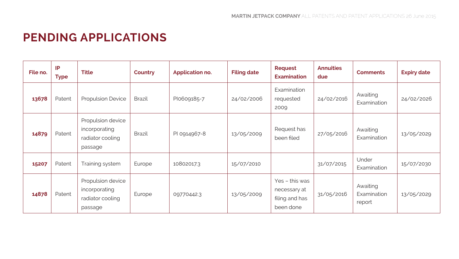## **PENDING APPLICATIONS**

| File no. | IP<br><b>Type</b> | <b>Title</b>                                                      | Country       | Application no. | <b>Filing date</b> | Request<br><b>Examination</b>                                 | <b>Annuities</b><br>due | <b>Comments</b>                   | <b>Expiry date</b> |
|----------|-------------------|-------------------------------------------------------------------|---------------|-----------------|--------------------|---------------------------------------------------------------|-------------------------|-----------------------------------|--------------------|
| 13678    | Patent            | <b>Propulsion Device</b>                                          | <b>Brazil</b> | Plo609185-7     | 24/02/2006         | Examination<br>requested<br>2009                              | 24/02/2016              | Awaiting<br>Examination           | 24/02/2026         |
| 14879    | Patent            | Propulsion device<br>incorporating<br>radiator cooling<br>passage | Brazil        | PI 0914967-8    | 13/05/2009         | Request has<br>been filed                                     | 27/05/2016              | Awaiting<br>Examination           | 13/05/2029         |
| 15207    | Patent            | Training system                                                   | Europe        | 10802017.3      | 15/07/2010         |                                                               | 31/07/2015              | Under<br>Examination              | 15/07/2030         |
| 14878    | Patent            | Propulsion device<br>incorporating<br>radiator cooling<br>passage | Europe        | 09770442.3      | 13/05/2009         | Yes - this was<br>necessary at<br>filing and has<br>been done | 31/05/2016              | Awaiting<br>Examination<br>report | 13/05/2029         |